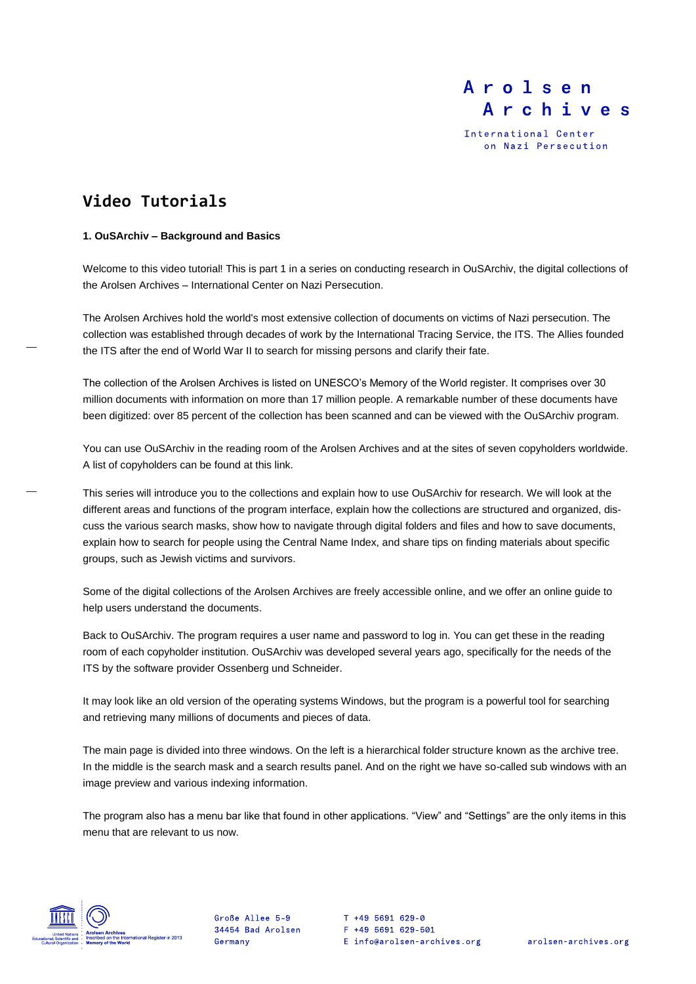International Center on Nazi Persecution

# **Video Tutorials**

### **1. OuSArchiv – Background and Basics**

Welcome to this video tutorial! This is part 1 in a series on conducting research in OuSArchiv, the digital collections of the Arolsen Archives – International Center on Nazi Persecution.

The Arolsen Archives hold the world's most extensive collection of documents on victims of Nazi persecution. The collection was established through decades of work by the International Tracing Service, the ITS. The Allies founded the ITS after the end of World War II to search for missing persons and clarify their fate.

The collection of the Arolsen Archives is listed on UNESCO's Memory of the World register. It comprises over 30 million documents with information on more than 17 million people. A remarkable number of these documents have been digitized: over 85 percent of the collection has been scanned and can be viewed with the OuSArchiv program.

You can use OuSArchiv in the reading room of the Arolsen Archives and at the sites of seven copyholders worldwide. A list of copyholders can be found at this link.

This series will introduce you to the collections and explain how to use OuSArchiv for research. We will look at the different areas and functions of the program interface, explain how the collections are structured and organized, discuss the various search masks, show how to navigate through digital folders and files and how to save documents, explain how to search for people using the Central Name Index, and share tips on finding materials about specific groups, such as Jewish victims and survivors.

Some of the digital collections of the Arolsen Archives are freely accessible online, and we offer an online guide to help users understand the documents.

Back to OuSArchiv. The program requires a user name and password to log in. You can get these in the reading room of each copyholder institution. OuSArchiv was developed several years ago, specifically for the needs of the ITS by the software provider Ossenberg und Schneider.

It may look like an old version of the operating systems Windows, but the program is a powerful tool for searching and retrieving many millions of documents and pieces of data.

The main page is divided into three windows. On the left is a hierarchical folder structure known as the archive tree. In the middle is the search mask and a search results panel. And on the right we have so-called sub windows with an image preview and various indexing information.

The program also has a menu bar like that found in other applications. "View" and "Settings" are the only items in this menu that are relevant to us now.



Große Allee 5-9 34454 Bad Arolsen Germany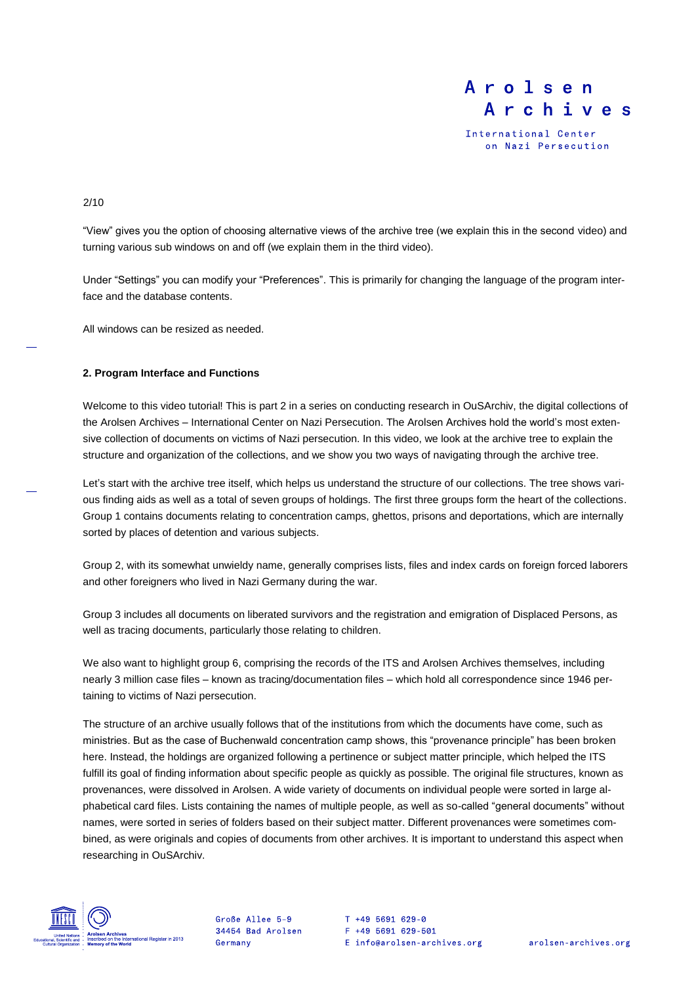

International Center on Nazi Persecution

2/10

"View" gives you the option of choosing alternative views of the archive tree (we explain this in the second video) and turning various sub windows on and off (we explain them in the third video).

Under "Settings" you can modify your "Preferences". This is primarily for changing the language of the program interface and the database contents.

All windows can be resized as needed.

### **2. Program Interface and Functions**

Welcome to this video tutorial! This is part 2 in a series on conducting research in OuSArchiv, the digital collections of the Arolsen Archives – International Center on Nazi Persecution. The Arolsen Archives hold the world's most extensive collection of documents on victims of Nazi persecution. In this video, we look at the archive tree to explain the structure and organization of the collections, and we show you two ways of navigating through the archive tree.

Let's start with the archive tree itself, which helps us understand the structure of our collections. The tree shows various finding aids as well as a total of seven groups of holdings. The first three groups form the heart of the collections. Group 1 contains documents relating to concentration camps, ghettos, prisons and deportations, which are internally sorted by places of detention and various subjects.

Group 2, with its somewhat unwieldy name, generally comprises lists, files and index cards on foreign forced laborers and other foreigners who lived in Nazi Germany during the war.

Group 3 includes all documents on liberated survivors and the registration and emigration of Displaced Persons, as well as tracing documents, particularly those relating to children.

We also want to highlight group 6, comprising the records of the ITS and Arolsen Archives themselves, including nearly 3 million case files – known as tracing/documentation files – which hold all correspondence since 1946 pertaining to victims of Nazi persecution.

The structure of an archive usually follows that of the institutions from which the documents have come, such as ministries. But as the case of Buchenwald concentration camp shows, this "provenance principle" has been broken here. Instead, the holdings are organized following a pertinence or subject matter principle, which helped the ITS fulfill its goal of finding information about specific people as quickly as possible. The original file structures, known as provenances, were dissolved in Arolsen. A wide variety of documents on individual people were sorted in large alphabetical card files. Lists containing the names of multiple people, as well as so-called "general documents" without names, were sorted in series of folders based on their subject matter. Different provenances were sometimes combined, as were originals and copies of documents from other archives. It is important to understand this aspect when researching in OuSArchiv.



Große Allee 5-9 34454 Bad Arolsen Germany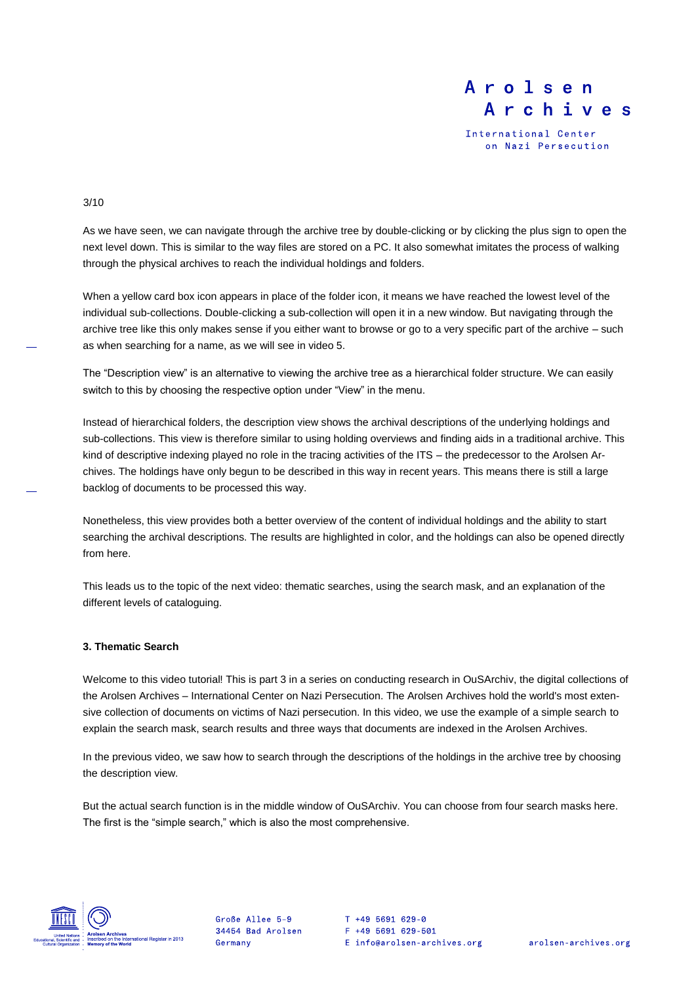International Center on Nazi Persecution

#### 3/10

As we have seen, we can navigate through the archive tree by double-clicking or by clicking the plus sign to open the next level down. This is similar to the way files are stored on a PC. It also somewhat imitates the process of walking through the physical archives to reach the individual holdings and folders.

When a yellow card box icon appears in place of the folder icon, it means we have reached the lowest level of the individual sub-collections. Double-clicking a sub-collection will open it in a new window. But navigating through the archive tree like this only makes sense if you either want to browse or go to a very specific part of the archive – such as when searching for a name, as we will see in video 5.

The "Description view" is an alternative to viewing the archive tree as a hierarchical folder structure. We can easily switch to this by choosing the respective option under "View" in the menu.

Instead of hierarchical folders, the description view shows the archival descriptions of the underlying holdings and sub-collections. This view is therefore similar to using holding overviews and finding aids in a traditional archive. This kind of descriptive indexing played no role in the tracing activities of the ITS – the predecessor to the Arolsen Archives. The holdings have only begun to be described in this way in recent years. This means there is still a large backlog of documents to be processed this way.

Nonetheless, this view provides both a better overview of the content of individual holdings and the ability to start searching the archival descriptions. The results are highlighted in color, and the holdings can also be opened directly from here.

This leads us to the topic of the next video: thematic searches, using the search mask, and an explanation of the different levels of cataloguing.

### **3. Thematic Search**

Welcome to this video tutorial! This is part 3 in a series on conducting research in OuSArchiv, the digital collections of the Arolsen Archives – International Center on Nazi Persecution. The Arolsen Archives hold the world's most extensive collection of documents on victims of Nazi persecution. In this video, we use the example of a simple search to explain the search mask, search results and three ways that documents are indexed in the Arolsen Archives.

In the previous video, we saw how to search through the descriptions of the holdings in the archive tree by choosing the description view.

But the actual search function is in the middle window of OuSArchiv. You can choose from four search masks here. The first is the "simple search," which is also the most comprehensive.



Große Allee 5-9 34454 Bad Arolsen Germany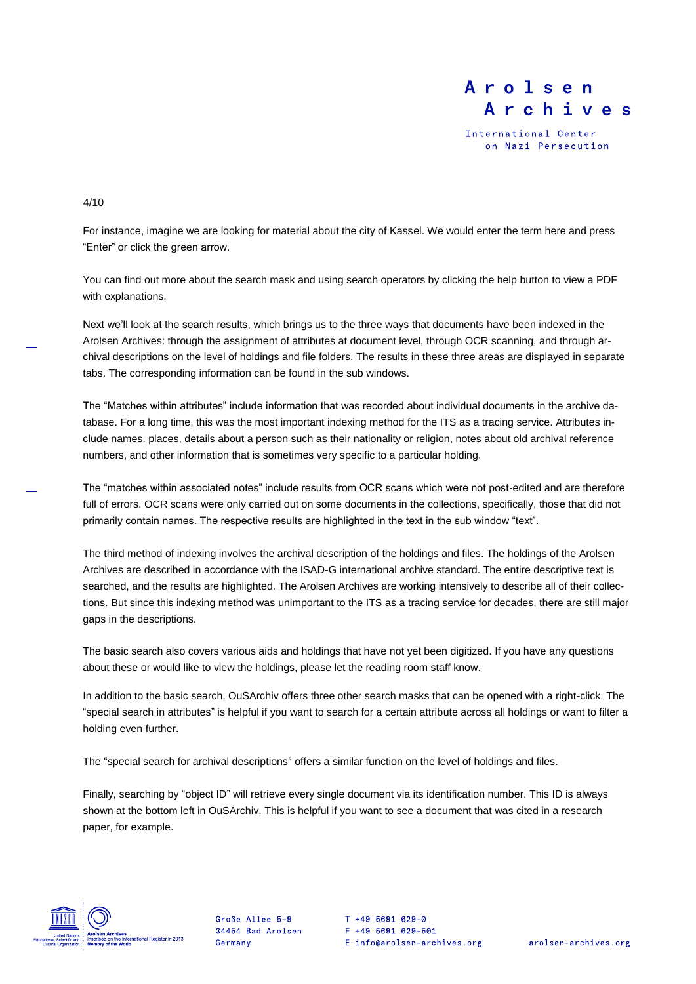International Center on Nazi Persecution

#### 4/10

For instance, imagine we are looking for material about the city of Kassel. We would enter the term here and press "Enter" or click the green arrow.

You can find out more about the search mask and using search operators by clicking the help button to view a PDF with explanations.

Next we'll look at the search results, which brings us to the three ways that documents have been indexed in the Arolsen Archives: through the assignment of attributes at document level, through OCR scanning, and through archival descriptions on the level of holdings and file folders. The results in these three areas are displayed in separate tabs. The corresponding information can be found in the sub windows.

The "Matches within attributes" include information that was recorded about individual documents in the archive database. For a long time, this was the most important indexing method for the ITS as a tracing service. Attributes include names, places, details about a person such as their nationality or religion, notes about old archival reference numbers, and other information that is sometimes very specific to a particular holding.

The "matches within associated notes" include results from OCR scans which were not post-edited and are therefore full of errors. OCR scans were only carried out on some documents in the collections, specifically, those that did not primarily contain names. The respective results are highlighted in the text in the sub window "text".

The third method of indexing involves the archival description of the holdings and files. The holdings of the Arolsen Archives are described in accordance with the ISAD-G international archive standard. The entire descriptive text is searched, and the results are highlighted. The Arolsen Archives are working intensively to describe all of their collections. But since this indexing method was unimportant to the ITS as a tracing service for decades, there are still major gaps in the descriptions.

The basic search also covers various aids and holdings that have not yet been digitized. If you have any questions about these or would like to view the holdings, please let the reading room staff know.

In addition to the basic search, OuSArchiv offers three other search masks that can be opened with a right-click. The "special search in attributes" is helpful if you want to search for a certain attribute across all holdings or want to filter a holding even further.

The "special search for archival descriptions" offers a similar function on the level of holdings and files.

Finally, searching by "object ID" will retrieve every single document via its identification number. This ID is always shown at the bottom left in OuSArchiv. This is helpful if you want to see a document that was cited in a research paper, for example.



Große Allee 5-9 34454 Bad Arolsen Germany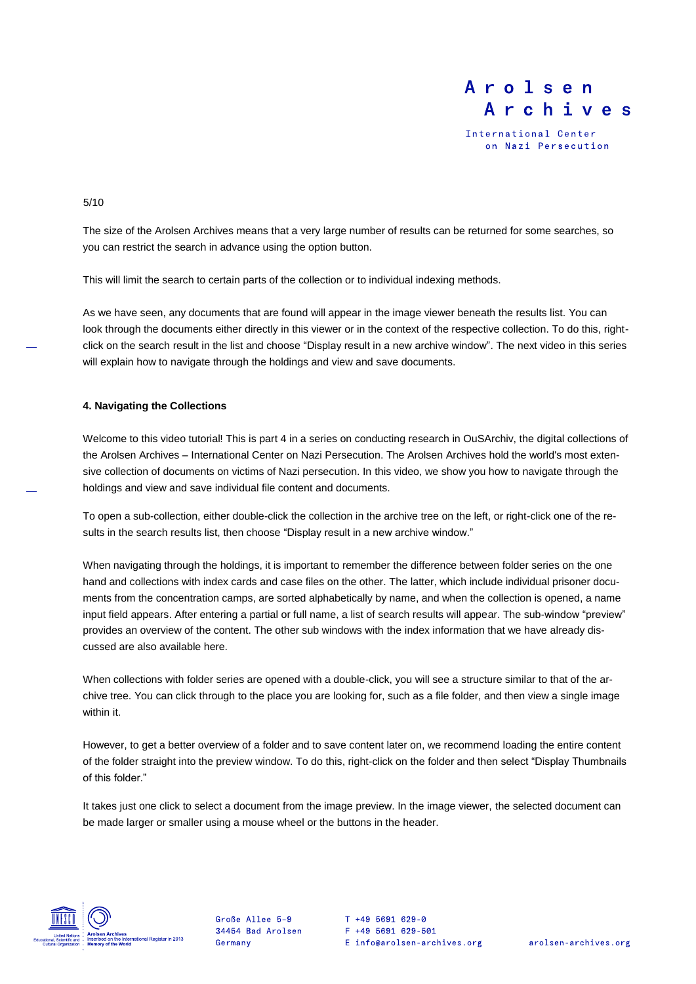International Center on Nazi Persecution

5/10

The size of the Arolsen Archives means that a very large number of results can be returned for some searches, so you can restrict the search in advance using the option button.

This will limit the search to certain parts of the collection or to individual indexing methods.

As we have seen, any documents that are found will appear in the image viewer beneath the results list. You can look through the documents either directly in this viewer or in the context of the respective collection. To do this, rightclick on the search result in the list and choose "Display result in a new archive window". The next video in this series will explain how to navigate through the holdings and view and save documents.

#### **4. Navigating the Collections**

Welcome to this video tutorial! This is part 4 in a series on conducting research in OuSArchiv, the digital collections of the Arolsen Archives – International Center on Nazi Persecution. The Arolsen Archives hold the world's most extensive collection of documents on victims of Nazi persecution. In this video, we show you how to navigate through the holdings and view and save individual file content and documents.

To open a sub-collection, either double-click the collection in the archive tree on the left, or right-click one of the results in the search results list, then choose "Display result in a new archive window."

When navigating through the holdings, it is important to remember the difference between folder series on the one hand and collections with index cards and case files on the other. The latter, which include individual prisoner documents from the concentration camps, are sorted alphabetically by name, and when the collection is opened, a name input field appears. After entering a partial or full name, a list of search results will appear. The sub-window "preview" provides an overview of the content. The other sub windows with the index information that we have already discussed are also available here.

When collections with folder series are opened with a double-click, you will see a structure similar to that of the archive tree. You can click through to the place you are looking for, such as a file folder, and then view a single image within it.

However, to get a better overview of a folder and to save content later on, we recommend loading the entire content of the folder straight into the preview window. To do this, right-click on the folder and then select "Display Thumbnails of this folder."

It takes just one click to select a document from the image preview. In the image viewer, the selected document can be made larger or smaller using a mouse wheel or the buttons in the header.



Große Allee 5-9 34454 Bad Arolsen Germany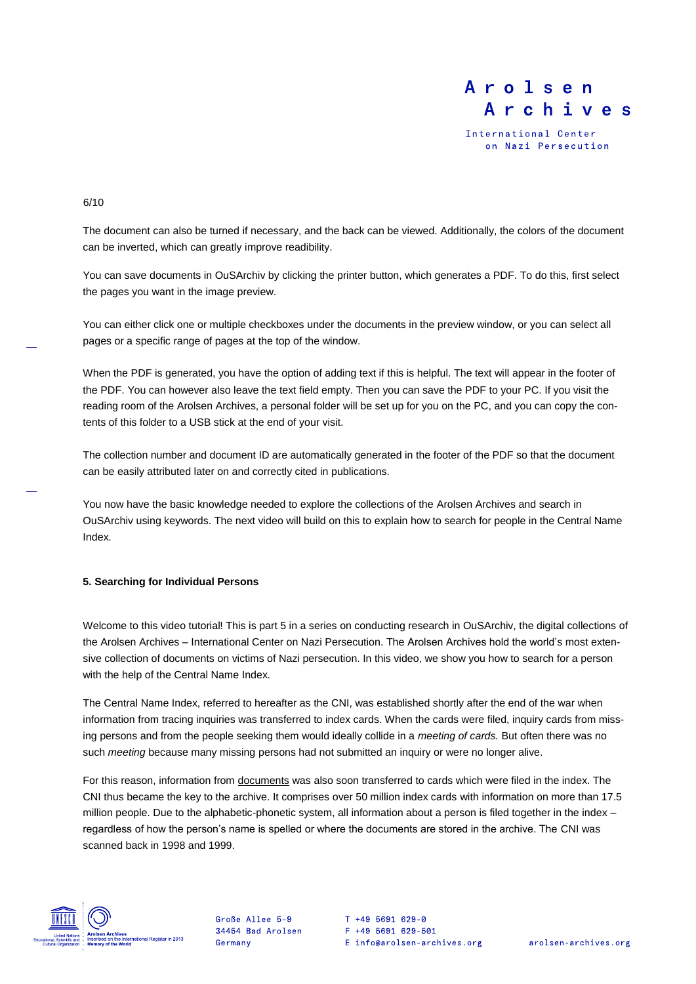International Center on Nazi Persecution

#### 6/10

The document can also be turned if necessary, and the back can be viewed. Additionally, the colors of the document can be inverted, which can greatly improve readibility.

You can save documents in OuSArchiv by clicking the printer button, which generates a PDF. To do this, first select the pages you want in the image preview.

You can either click one or multiple checkboxes under the documents in the preview window, or you can select all pages or a specific range of pages at the top of the window.

When the PDF is generated, you have the option of adding text if this is helpful. The text will appear in the footer of the PDF. You can however also leave the text field empty. Then you can save the PDF to your PC. If you visit the reading room of the Arolsen Archives, a personal folder will be set up for you on the PC, and you can copy the contents of this folder to a USB stick at the end of your visit.

The collection number and document ID are automatically generated in the footer of the PDF so that the document can be easily attributed later on and correctly cited in publications.

You now have the basic knowledge needed to explore the collections of the Arolsen Archives and search in OuSArchiv using keywords. The next video will build on this to explain how to search for people in the Central Name Index.

### **5. Searching for Individual Persons**

Welcome to this video tutorial! This is part 5 in a series on conducting research in OuSArchiv, the digital collections of the Arolsen Archives – International Center on Nazi Persecution. The Arolsen Archives hold the world's most extensive collection of documents on victims of Nazi persecution. In this video, we show you how to search for a person with the help of the Central Name Index.

The Central Name Index, referred to hereafter as the CNI, was established shortly after the end of the war when information from tracing inquiries was transferred to index cards. When the cards were filed, inquiry cards from missing persons and from the people seeking them would ideally collide in a *meeting of cards.* But often there was no such *meeting* because many missing persons had not submitted an inquiry or were no longer alive.

For this reason, information from documents was also soon transferred to cards which were filed in the index. The CNI thus became the key to the archive. It comprises over 50 million index cards with information on more than 17.5 million people. Due to the alphabetic-phonetic system, all information about a person is filed together in the index – regardless of how the person's name is spelled or where the documents are stored in the archive. The CNI was scanned back in 1998 and 1999.



Große Allee 5-9 34454 Bad Arolsen Germany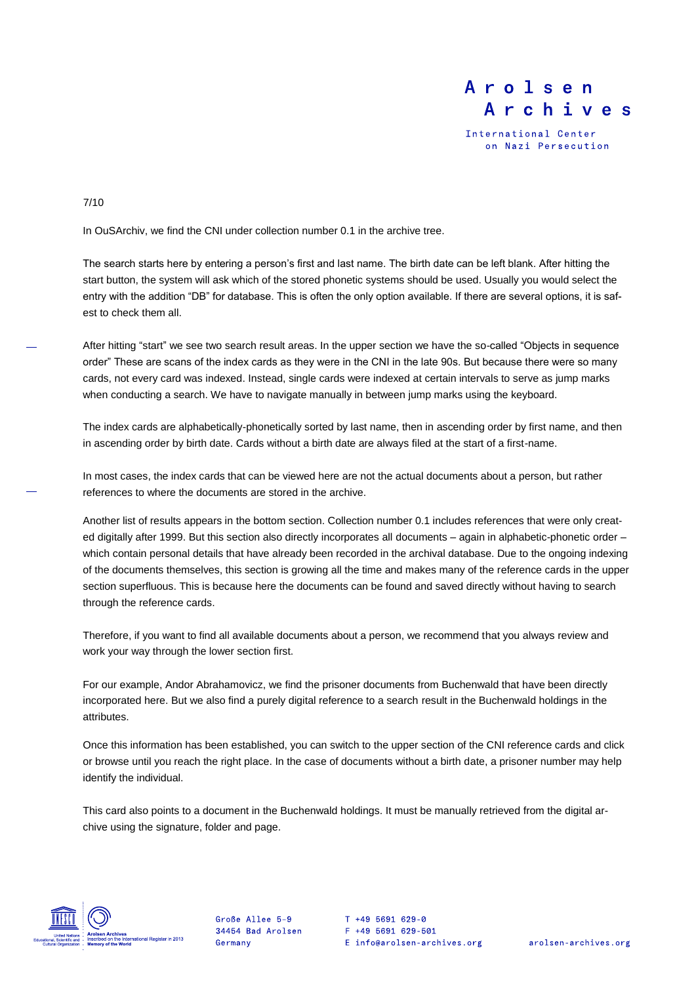International Center on Nazi Persecution

### 7/10

In OuSArchiv, we find the CNI under collection number 0.1 in the archive tree.

The search starts here by entering a person's first and last name. The birth date can be left blank. After hitting the start button, the system will ask which of the stored phonetic systems should be used. Usually you would select the entry with the addition "DB" for database. This is often the only option available. If there are several options, it is safest to check them all.

After hitting "start" we see two search result areas. In the upper section we have the so-called "Objects in sequence order" These are scans of the index cards as they were in the CNI in the late 90s. But because there were so many cards, not every card was indexed. Instead, single cards were indexed at certain intervals to serve as jump marks when conducting a search. We have to navigate manually in between jump marks using the keyboard.

The index cards are alphabetically-phonetically sorted by last name, then in ascending order by first name, and then in ascending order by birth date. Cards without a birth date are always filed at the start of a first-name.

In most cases, the index cards that can be viewed here are not the actual documents about a person, but rather references to where the documents are stored in the archive.

Another list of results appears in the bottom section. Collection number 0.1 includes references that were only created digitally after 1999. But this section also directly incorporates all documents – again in alphabetic-phonetic order – which contain personal details that have already been recorded in the archival database. Due to the ongoing indexing of the documents themselves, this section is growing all the time and makes many of the reference cards in the upper section superfluous. This is because here the documents can be found and saved directly without having to search through the reference cards.

Therefore, if you want to find all available documents about a person, we recommend that you always review and work your way through the lower section first.

For our example, Andor Abrahamovicz, we find the prisoner documents from Buchenwald that have been directly incorporated here. But we also find a purely digital reference to a search result in the Buchenwald holdings in the attributes.

Once this information has been established, you can switch to the upper section of the CNI reference cards and click or browse until you reach the right place. In the case of documents without a birth date, a prisoner number may help identify the individual.

This card also points to a document in the Buchenwald holdings. It must be manually retrieved from the digital archive using the signature, folder and page.



Große Allee 5-9 34454 Bad Arolsen Germany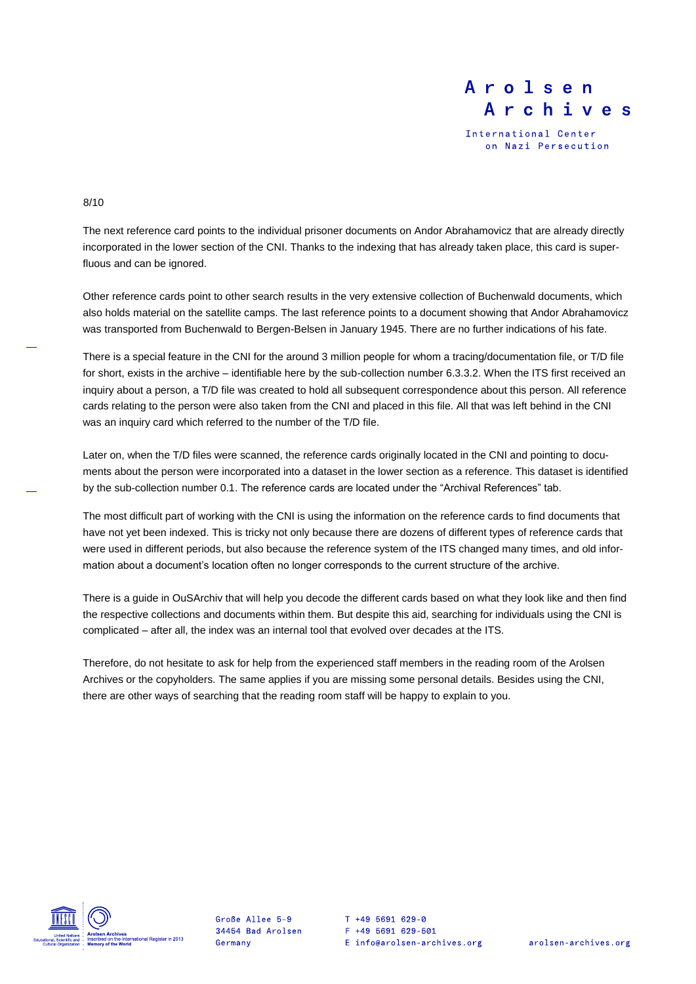International Center on Nazi Persecution

### 8/10

The next reference card points to the individual prisoner documents on Andor Abrahamovicz that are already directly incorporated in the lower section of the CNI. Thanks to the indexing that has already taken place, this card is superfluous and can be ignored.

Other reference cards point to other search results in the very extensive collection of Buchenwald documents, which also holds material on the satellite camps. The last reference points to a document showing that Andor Abrahamovicz was transported from Buchenwald to Bergen-Belsen in January 1945. There are no further indications of his fate.

There is a special feature in the CNI for the around 3 million people for whom a tracing/documentation file, or T/D file for short, exists in the archive – identifiable here by the sub-collection number 6.3.3.2. When the ITS first received an inquiry about a person, a T/D file was created to hold all subsequent correspondence about this person. All reference cards relating to the person were also taken from the CNI and placed in this file. All that was left behind in the CNI was an inquiry card which referred to the number of the T/D file.

Later on, when the T/D files were scanned, the reference cards originally located in the CNI and pointing to documents about the person were incorporated into a dataset in the lower section as a reference. This dataset is identified by the sub-collection number 0.1. The reference cards are located under the "Archival References" tab.

The most difficult part of working with the CNI is using the information on the reference cards to find documents that have not yet been indexed. This is tricky not only because there are dozens of different types of reference cards that were used in different periods, but also because the reference system of the ITS changed many times, and old information about a document's location often no longer corresponds to the current structure of the archive.

There is a guide in OuSArchiv that will help you decode the different cards based on what they look like and then find the respective collections and documents within them. But despite this aid, searching for individuals using the CNI is complicated – after all, the index was an internal tool that evolved over decades at the ITS.

Therefore, do not hesitate to ask for help from the experienced staff members in the reading room of the Arolsen Archives or the copyholders. The same applies if you are missing some personal details. Besides using the CNI, there are other ways of searching that the reading room staff will be happy to explain to you.



Große Allee 5-9 34454 Bad Arolsen Germany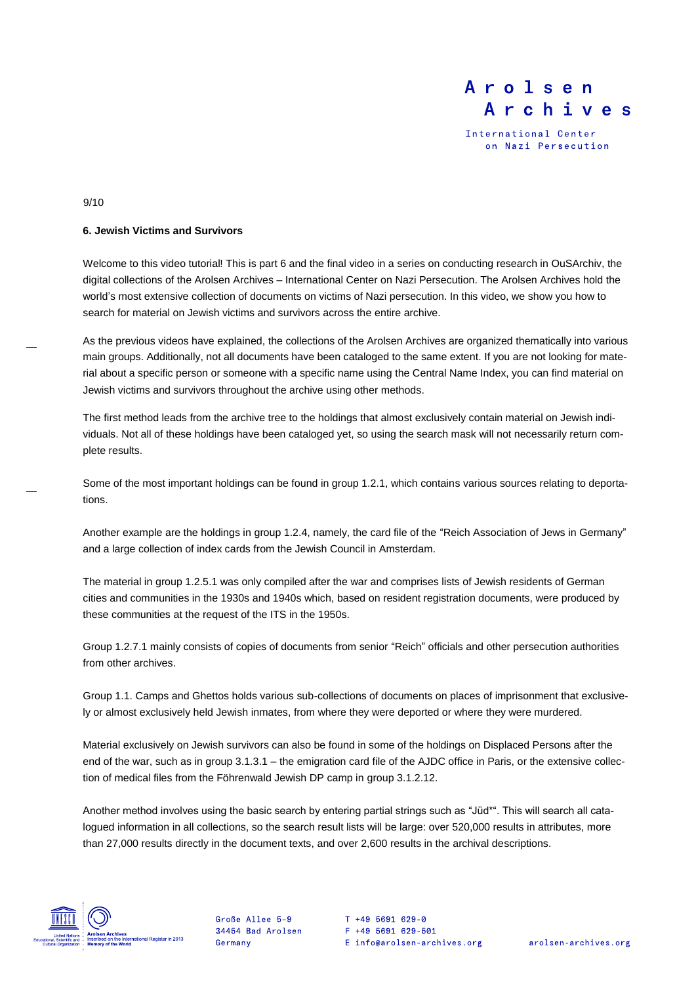International Center on Nazi Persecution

#### 9/10

### **6. Jewish Victims and Survivors**

Welcome to this video tutorial! This is part 6 and the final video in a series on conducting research in OuSArchiv, the digital collections of the Arolsen Archives – International Center on Nazi Persecution. The Arolsen Archives hold the world's most extensive collection of documents on victims of Nazi persecution. In this video, we show you how to search for material on Jewish victims and survivors across the entire archive.

As the previous videos have explained, the collections of the Arolsen Archives are organized thematically into various main groups. Additionally, not all documents have been cataloged to the same extent. If you are not looking for material about a specific person or someone with a specific name using the Central Name Index, you can find material on Jewish victims and survivors throughout the archive using other methods.

The first method leads from the archive tree to the holdings that almost exclusively contain material on Jewish individuals. Not all of these holdings have been cataloged yet, so using the search mask will not necessarily return complete results.

Some of the most important holdings can be found in group 1.2.1, which contains various sources relating to deportations.

Another example are the holdings in group 1.2.4, namely, the card file of the "Reich Association of Jews in Germany" and a large collection of index cards from the Jewish Council in Amsterdam.

The material in group 1.2.5.1 was only compiled after the war and comprises lists of Jewish residents of German cities and communities in the 1930s and 1940s which, based on resident registration documents, were produced by these communities at the request of the ITS in the 1950s.

Group 1.2.7.1 mainly consists of copies of documents from senior "Reich" officials and other persecution authorities from other archives.

Group 1.1. Camps and Ghettos holds various sub-collections of documents on places of imprisonment that exclusively or almost exclusively held Jewish inmates, from where they were deported or where they were murdered.

Material exclusively on Jewish survivors can also be found in some of the holdings on Displaced Persons after the end of the war, such as in group 3.1.3.1 – the emigration card file of the AJDC office in Paris, or the extensive collection of medical files from the Föhrenwald Jewish DP camp in group 3.1.2.12.

Another method involves using the basic search by entering partial strings such as "Jüd\*". This will search all catalogued information in all collections, so the search result lists will be large: over 520,000 results in attributes, more than 27,000 results directly in the document texts, and over 2,600 results in the archival descriptions.



Große Allee 5-9 34454 Bad Arolsen Germany